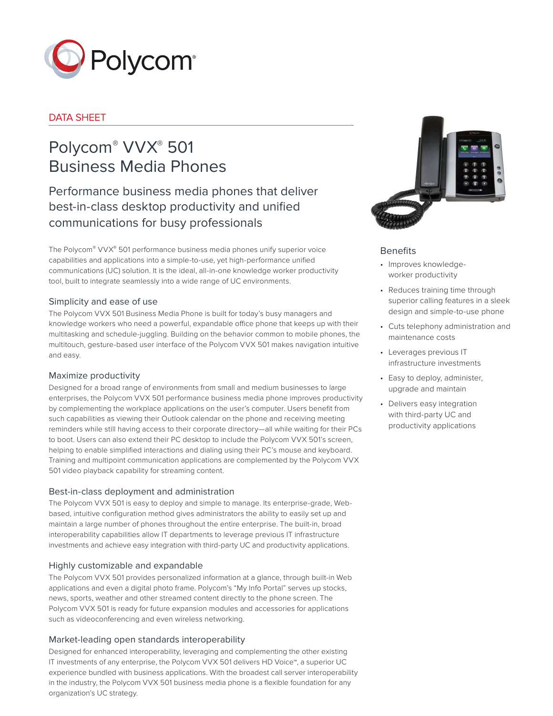

# DATA SHEET

# Polycom® VVX® 501 Business Media Phones

Performance business media phones that deliver best-in-class desktop productivity and unified communications for busy professionals

The Polycom® VVX® 501 performance business media phones unify superior voice capabilities and applications into a simple-to-use, yet high-performance unified communications (UC) solution. It is the ideal, all-in-one knowledge worker productivity tool, built to integrate seamlessly into a wide range of UC environments.

# Simplicity and ease of use

The Polycom VVX 501 Business Media Phone is built for today's busy managers and knowledge workers who need a powerful, expandable office phone that keeps up with their multitasking and schedule-juggling. Building on the behavior common to mobile phones, the multitouch, gesture-based user interface of the Polycom VVX 501 makes navigation intuitive and easy.

# Maximize productivity

Designed for a broad range of environments from small and medium businesses to large enterprises, the Polycom VVX 501 performance business media phone improves productivity by complementing the workplace applications on the user's computer. Users benefit from such capabilities as viewing their Outlook calendar on the phone and receiving meeting reminders while still having access to their corporate directory—all while waiting for their PCs to boot. Users can also extend their PC desktop to include the Polycom VVX 501's screen, helping to enable simplified interactions and dialing using their PC's mouse and keyboard. Training and multipoint communication applications are complemented by the Polycom VVX 501 video playback capability for streaming content.

# Best-in-class deployment and administration

The Polycom VVX 501 is easy to deploy and simple to manage. Its enterprise-grade, Webbased, intuitive configuration method gives administrators the ability to easily set up and maintain a large number of phones throughout the entire enterprise. The built-in, broad interoperability capabilities allow IT departments to leverage previous IT infrastructure investments and achieve easy integration with third-party UC and productivity applications.

# Highly customizable and expandable

The Polycom VVX 501 provides personalized information at a glance, through built-in Web applications and even a digital photo frame. Polycom's "My Info Portal" serves up stocks, news, sports, weather and other streamed content directly to the phone screen. The Polycom VVX 501 is ready for future expansion modules and accessories for applications such as videoconferencing and even wireless networking.

# Market-leading open standards interoperability

Designed for enhanced interoperability, leveraging and complementing the other existing IT investments of any enterprise, the Polycom VVX 501 delivers HD Voice™, a superior UC experience bundled with business applications. With the broadest call server interoperability in the industry, the Polycom VVX 501 business media phone is a flexible foundation for any organization's UC strategy.



# Benefits

- Improves knowledgeworker productivity
- Reduces training time through superior calling features in a sleek design and simple-to-use phone
- Cuts telephony administration and maintenance costs
- Leverages previous IT infrastructure investments
- Easy to deploy, administer, upgrade and maintain
- Delivers easy integration with third-party UC and productivity applications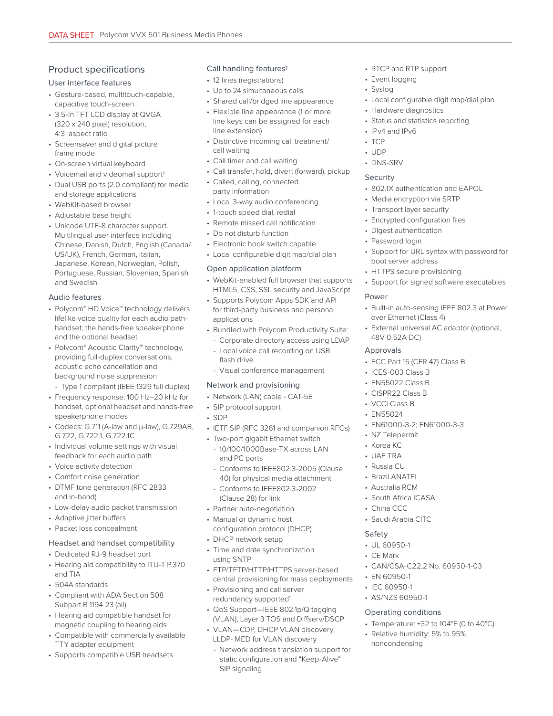# Product specifications

#### User interface features

- Gesture-based, multitouch-capable, capacitive touch-screen
- 3.5-in TFT LCD display at QVGA (320 x 240 pixel) resolution, 4:3 aspect ratio
- Screensaver and digital picture frame mode
- On-screen virtual keyboard
- Voicemail and videomail support<sup>1</sup>
- Dual USB ports (2.0 compliant) for media and storage applications
- WebKit-based browser
- Adjustable base height
- Unicode UTF-8 character support. Multilingual user interface including Chinese, Danish, Dutch, English (Canada/ US/UK), French, German, Italian, Japanese, Korean, Norwegian, Polish, Portuguese, Russian, Slovenian, Spanish and Swedish

# Audio features

- Polycom® HD Voice™ technology delivers lifelike voice quality for each audio pathhandset, the hands-free speakerphone and the optional headset
- Polycom® Acoustic Clarity™ technology, providing full-duplex conversations, acoustic echo cancellation and background noise suppression

- Type 1 compliant (IEEE 1329 full duplex)

- Frequency response: 100 Hz–20 kHz for handset, optional headset and hands-free speakerphone modes
- Codecs: G.711 (A-law and μ-law), G.729AB, G.722, G.722.1, G.722.1C
- Individual volume settings with visual feedback for each audio path
- Voice activity detection
- Comfort noise generation
- DTMF tone generation (RFC 2833 and in-band)
- Low-delay audio packet transmission
- Adaptive jitter buffers
- Packet loss concealment

#### Headset and handset compatibility

- Dedicated RJ-9 headset port
- Hearing aid compatibility to ITU-T P.370 and TIA
- 504A standards
- Compliant with ADA Section 508 Subpart B 1194.23 (all)
- Hearing aid compatible handset for magnetic coupling to hearing aids
- Compatible with commercially available TTY adapter equipment
- Supports compatible USB headsets

# Call handling features<sup>1</sup>

- 12 lines (registrations)
- Up to 24 simultaneous calls
- Shared call/bridged line appearance
- Flexible line appearance (1 or more line keys can be assigned for each line extension)
- Distinctive incoming call treatment/ call waiting
- Call timer and call waiting
- Call transfer, hold, divert (forward), pickup
- Called, calling, connected party information
- Local 3-way audio conferencing
- 1-touch speed dial, redial
- Remote missed call notification
- Do not disturb function
- Electronic hook switch capable
- Local configurable digit map/dial plan

#### Open application platform

- WebKit-enabled full browser that supports HTML5, CSS, SSL security and JavaScript
- Supports Polycom Apps SDK and API for third-party business and personal applications
- Bundled with Polycom Productivity Suite:
	- Corporate directory access using LDAP
	- Local voice call recording on USB flash drive
	- Visual conference management

# Network and provisioning

- Network (LAN) cable CAT-5E
- SIP protocol support
- SDP
- IETF SIP (RFC 3261 and companion RFCs)
- Two-port gigabit Ethernet switch
	- 10/100/1000Base-TX across LAN and PC ports
	- Conforms to IEEE802.3-2005 (Clause 40) for physical media attachment
	- Conforms to IEEE802.3-2002 (Clause 28) for link
- Partner auto-negotiation
- Manual or dynamic host configuration protocol (DHCP)
- DHCP network setup
- Time and date synchronization using SNTP
- FTP/TFTP/HTTP/HTTPS server-based central provisioning for mass deployments
- Provisioning and call server redundancy supported1
- QoS Support—IEEE 802.1p/Q tagging (VLAN), Layer 3 TOS and Diffserv/DSCP
- VLAN—CDP, DHCP VLAN discovery, LLDP- MED for VLAN discovery
	- Network address translation support for static configuration and "Keep-Alive" SIP signaling
- RTCP and RTP support
- Event logging
- Syslog
- Local configurable digit map/dial plan
- Hardware diagnostics
- Status and statistics reporting
- IPv4 and IPv6
- TCP
- UDP
- DNS-SRV

# Security

- 802.1X authentication and EAPOL
- Media encryption via SRTP
- Transport layer security
- Encrypted configuration files
- Digest authentication
- Password login
- Support for URL syntax with password for boot server address
- HTTPS secure provisioning
- Support for signed software executables

#### Power

- Built-in auto-sensing IEEE 802.3 at Power over Ethernet (Class 4)
- External universal AC adaptor (optional, 48V 0.52A DC)

# Approvals

• FCC Part 15 (CFR 47) Class B

• EN61000-3-2; EN61000-3-3

• CAN/CSA-C22.2 No. 60950-1-03

• Temperature: +32 to 104°F (0 to 40°C) • Relative humidity: 5% to 95%,

- ICES-003 Class B
- EN55022 Class B • CISPR22 Class B

• VCCI Class B • EN55024

• NZ Telepermit • Korea KC • UAE TRA • Russia CU • Brazil ANATEL • Australia RCM • South Africa ICASA • China CCC • Saudi Arabia CITC

Safety • UL 60950-1 • CE Mark

• EN 60950-1 • IEC 60950-1 • AS/NZS 60950-1 Operating conditions

noncondensing